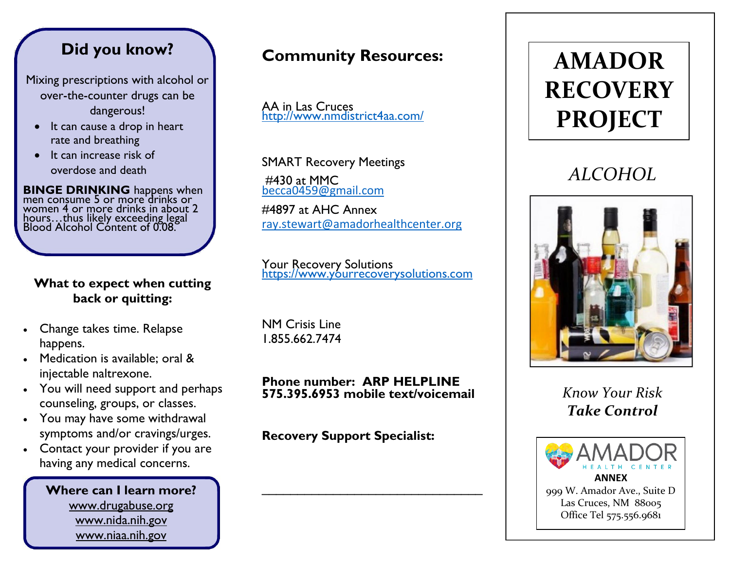### **Did you know?**

Mixing prescriptions with alcohol or over-the-counter drugs can be dangerous!

- It can cause a drop in heart rate and breathing
- It can increase risk of overdose and death

**BINGE DRINKING** happens when men consume 5 or more drinks or women 4 or more drinks in about 2 hours...thus likely exceeding legal Blood Alcohol Content of 0.08.

#### **What to expect when cutting back or quitting:**

- Change takes time. Relapse happens.
- Medication is available; oral & injectable naltrexone.
- You will need support and perhaps counseling, groups, or classes.
- You may have some withdrawal symptoms and/or cravings/urges.
- Contact your provider if you are having any medical concerns.

**Where can I learn more?**  www.drugabuse.org www.nida.nih.gov www.niaa.nih.gov

### **Community Resources:**

AA in Las Cruces <http://www.nmdistrict4aa.com/>

SMART Recovery Meetings

#430 at MMC [becca0459@gmail.com](mailto:becca0459@gmail.com)

#4897 at AHC Annex [ray.stewart@amadorhealthcenter.org](mailto:ray.stewart@amadorhealthcenter.org)

Your Recovery Solutions [https://www.yourrecoverysolutions.com](https://www.yourrecoverysolutions.com/)

NM Crisis Line 1.855.662.7474

**Phone number: ARP HELPLINE 575.395.6953 mobile text/voicemail**

\_\_\_\_\_\_\_\_\_\_\_\_\_\_\_\_\_\_\_\_\_\_\_\_\_\_\_\_\_\_\_

**Recovery Support Specialist:**

# **AMADOR RECOVERY PROJECT**

# *ALCOHOL*



*Know Your Risk Take Control*